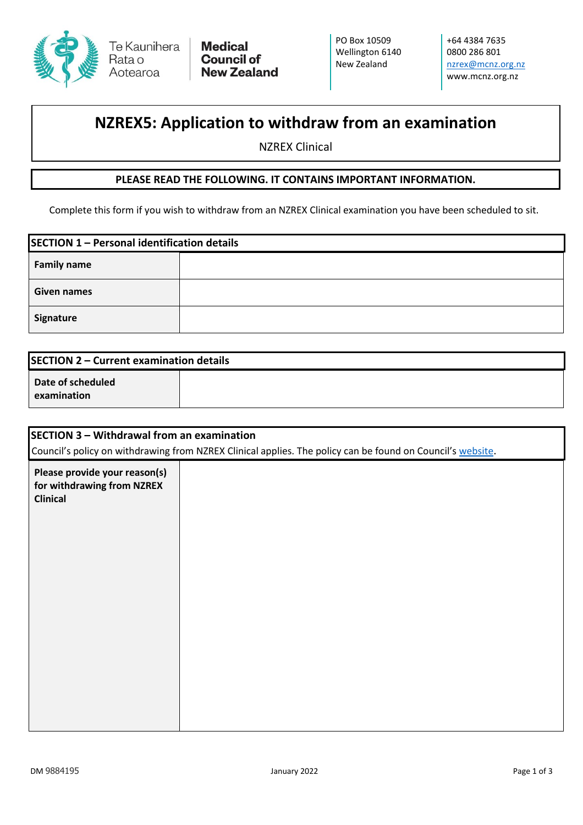

+64 4384 7635 0800 286 801 [nzrex@mcnz.org.nz](mailto:nzrex@mcnz.org.nz) www.mcnz.org.nz

# **NZREX5: Application to withdraw from an examination**

NZREX Clinical

### **PLEASE READ THE FOLLOWING. IT CONTAINS IMPORTANT INFORMATION.**

Complete this form if you wish to withdraw from an NZREX Clinical examination you have been scheduled to sit.

| SECTION 1 - Personal identification details |  |  |
|---------------------------------------------|--|--|
| <b>Family name</b>                          |  |  |
| Given names                                 |  |  |
| Signature                                   |  |  |

| <b>SECTION 2 – Current examination details</b> |  |
|------------------------------------------------|--|
| Date of scheduled<br>examination               |  |

| SECTION 3 – Withdrawal from an examination<br>Council's policy on withdrawing from NZREX Clinical applies. The policy can be found on Council's website. |  |
|----------------------------------------------------------------------------------------------------------------------------------------------------------|--|
| Please provide your reason(s)<br>for withdrawing from NZREX<br><b>Clinical</b>                                                                           |  |
|                                                                                                                                                          |  |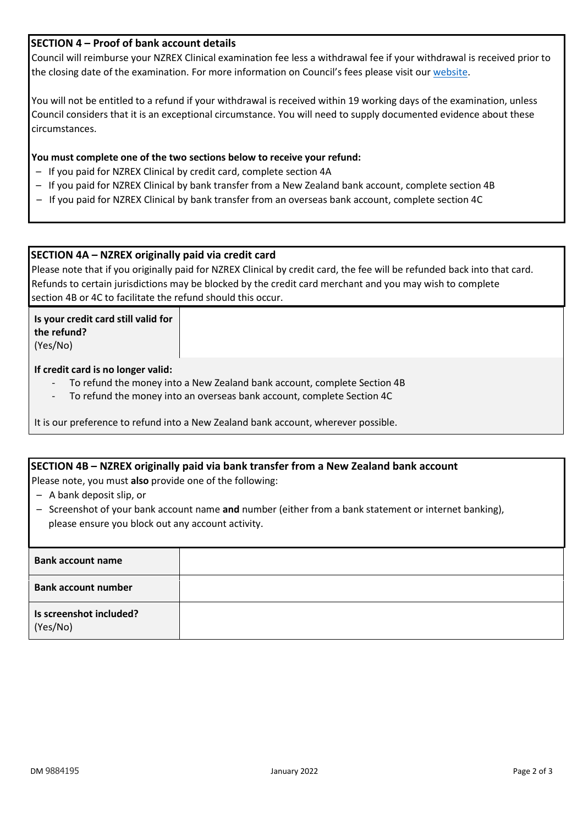## **SECTION 4 – Proof of bank account details**

Council will reimburse your NZREX Clinical examination fee less a withdrawal fee if your withdrawal is received prior to the closing date of the examination. For more information on Council's fees please visit our [website.](https://www.mcnz.org.nz/registration/forms-fees-and-checklists/fees/)

You will not be entitled to a refund if your withdrawal is received within 19 working days of the examination, unless Council considers that it is an exceptional circumstance. You will need to supply documented evidence about these circumstances.

#### **You must complete one of the two sections below to receive your refund:**

- If you paid for NZREX Clinical by credit card, complete section 4A
- If you paid for NZREX Clinical by bank transfer from a New Zealand bank account, complete section 4B
- If you paid for NZREX Clinical by bank transfer from an overseas bank account, complete section 4C

### **SECTION 4A – NZREX originally paid via credit card**

Please note that if you originally paid for NZREX Clinical by credit card, the fee will be refunded back into that card. Refunds to certain jurisdictions may be blocked by the credit card merchant and you may wish to complete section 4B or 4C to facilitate the refund should this occur.

**Is your credit card still valid for the refund?** (Yes/No)

#### **If credit card is no longer valid:**

- To refund the money into a New Zealand bank account, complete Section 4B
- To refund the money into an overseas bank account, complete Section 4C

It is our preference to refund into a New Zealand bank account, wherever possible.

#### **SECTION 4B – NZREX originally paid via bank transfer from a New Zealand bank account**

Please note, you must **also** provide one of the following:

- A bank deposit slip, or
- Screenshot of your bank account name **and** number (either from a bank statement or internet banking), please ensure you block out any account activity.

| <b>Bank account name</b>            |  |
|-------------------------------------|--|
| <b>Bank account number</b>          |  |
| Is screenshot included?<br>(Yes/No) |  |